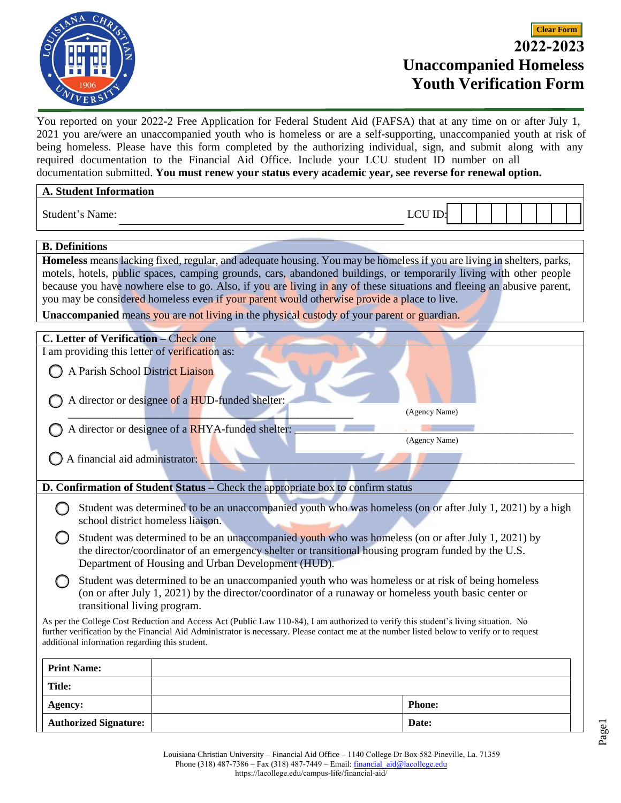

You reported on your 2022-2 Free Application for Federal Student Aid (FAFSA) that at any time on or after July 1, 2021 you are/were an unaccompanied youth who is homeless or are a self-supporting, unaccompanied youth at risk of being homeless. Please have this form completed by the authorizing individual, sign, and submit along with any required documentation to the Financial Aid Office. Include your LCU student ID number on all documentation submitted. **You must renew your status every academic year, see reverse for renewal option.**

| <b>A. Student Information</b>                                                                                                              |  |               |
|--------------------------------------------------------------------------------------------------------------------------------------------|--|---------------|
| Student's Name:                                                                                                                            |  | <b>LCU ID</b> |
| <b>B.</b> Definitions                                                                                                                      |  |               |
| Homeless means lacking fixed, regular, and adequate housing. You may be homeless if you are living in shelters, parks,                     |  |               |
| motels, hotels, public spaces, camping grounds, cars, abandoned buildings, or temporarily living with other people                         |  |               |
| because you have nowhere else to go. Also, if you are living in any of these situations and fleeing an abusive parent,                     |  |               |
| you may be considered homeless even if your parent would otherwise provide a place to live.                                                |  |               |
| <b>Unaccompanied</b> means you are not living in the physical custody of your parent or guardian.                                          |  |               |
|                                                                                                                                            |  |               |
| C. Letter of Verification - Check one                                                                                                      |  |               |
| I am providing this letter of verification as:                                                                                             |  |               |
| A Parish School District Liaison                                                                                                           |  |               |
|                                                                                                                                            |  |               |
| A director or designee of a HUD-funded shelter:                                                                                            |  |               |
|                                                                                                                                            |  | (Agency Name) |
|                                                                                                                                            |  |               |
| A director or designee of a RHYA-funded shelter:<br>(Agency Name)                                                                          |  |               |
|                                                                                                                                            |  |               |
| A financial aid administrator:                                                                                                             |  |               |
|                                                                                                                                            |  |               |
| D. Confirmation of Student Status - Check the appropriate box to confirm status                                                            |  |               |
| Student was determined to be an unaccompanied youth who was homeless (on or after July 1, 2021) by a high                                  |  |               |
| school district homeless liaison.                                                                                                          |  |               |
| Student was determined to be an unaccompanied youth who was homeless (on or after July 1, 2021) by                                         |  |               |
| the director/coordinator of an emergency shelter or transitional housing program funded by the U.S.                                        |  |               |
| Department of Housing and Urban Development (HUD).                                                                                         |  |               |
| Student was determined to be an unaccompanied youth who was homeless or at risk of being homeless                                          |  |               |
| (on or after July 1, 2021) by the director/coordinator of a runaway or homeless youth basic center or                                      |  |               |
| transitional living program.                                                                                                               |  |               |
| As per the College Cost Reduction and Access Act (Public Law 110-84), I am authorized to verify this student's living situation. No        |  |               |
| further verification by the Financial Aid Administrator is necessary. Please contact me at the number listed below to verify or to request |  |               |
| additional information regarding this student.                                                                                             |  |               |
|                                                                                                                                            |  |               |
| <b>Print Name:</b>                                                                                                                         |  |               |
| <b>Title:</b>                                                                                                                              |  |               |
| Agency:                                                                                                                                    |  | <b>Phone:</b> |
| <b>Authorized Signature:</b>                                                                                                               |  | Date:         |